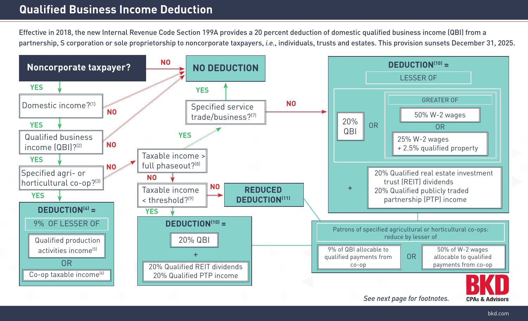## **Qualified Business Income Deduction**

Effective in 2018, the new Internal Revenue Code Section 199A provides a 20 percent deduction of domestic qualified business income (QBI) from a partnership, S corporation or sole proprietorship to noncorporate taxpayers, *i.e.*, individuals, trusts and estates. This provision sunsets December 31, 2025.